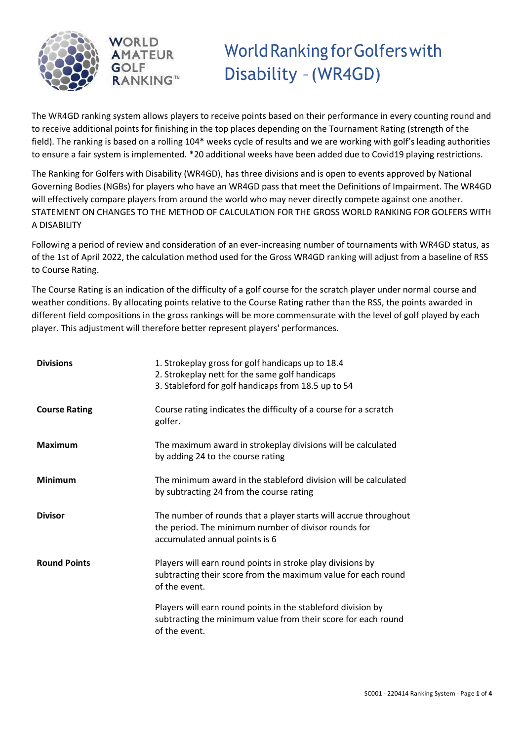



# WorldRanking forGolferswith Disability –(WR4GD)

The WR4GD ranking system allows players to receive points based on their performance in every counting round and to receive additional points for finishing in the top places depending on the Tournament Rating (strength of the field). The ranking is based on a rolling 104\* weeks cycle of results and we are working with golf's leading authorities to ensure a fair system is implemented. \*20 additional weeks have been added due to Covid19 playing restrictions.

The Ranking for Golfers with Disability (WR4GD), has three divisions and is open to events approved by National Governing Bodies (NGBs) for players who have an WR4GD pass that meet the Definitions of Impairment. The WR4GD will effectively compare players from around the world who may never directly compete against one another. STATEMENT ON CHANGES TO THE METHOD OF CALCULATION FOR THE GROSS WORLD RANKING FOR GOLFERS WITH A DISABILITY

Following a period of review and consideration of an ever-increasing number of tournaments with WR4GD status, as of the 1st of April 2022, the calculation method used for the Gross WR4GD ranking will adjust from a baseline of RSS to Course Rating.

The Course Rating is an indication of the difficulty of a golf course for the scratch player under normal course and weather conditions. By allocating points relative to the Course Rating rather than the RSS, the points awarded in different field compositions in the gross rankings will be more commensurate with the level of golf played by each player. This adjustment will therefore better represent players' performances.

| <b>Divisions</b>     | 1. Strokeplay gross for golf handicaps up to 18.4<br>2. Strokeplay nett for the same golf handicaps<br>3. Stableford for golf handicaps from 18.5 up to 54 |
|----------------------|------------------------------------------------------------------------------------------------------------------------------------------------------------|
| <b>Course Rating</b> | Course rating indicates the difficulty of a course for a scratch<br>golfer.                                                                                |
| <b>Maximum</b>       | The maximum award in strokeplay divisions will be calculated<br>by adding 24 to the course rating                                                          |
| <b>Minimum</b>       | The minimum award in the stableford division will be calculated<br>by subtracting 24 from the course rating                                                |
| <b>Divisor</b>       | The number of rounds that a player starts will accrue throughout<br>the period. The minimum number of divisor rounds for<br>accumulated annual points is 6 |
| <b>Round Points</b>  | Players will earn round points in stroke play divisions by<br>subtracting their score from the maximum value for each round<br>of the event.               |
|                      | Players will earn round points in the stableford division by<br>subtracting the minimum value from their score for each round<br>of the event.             |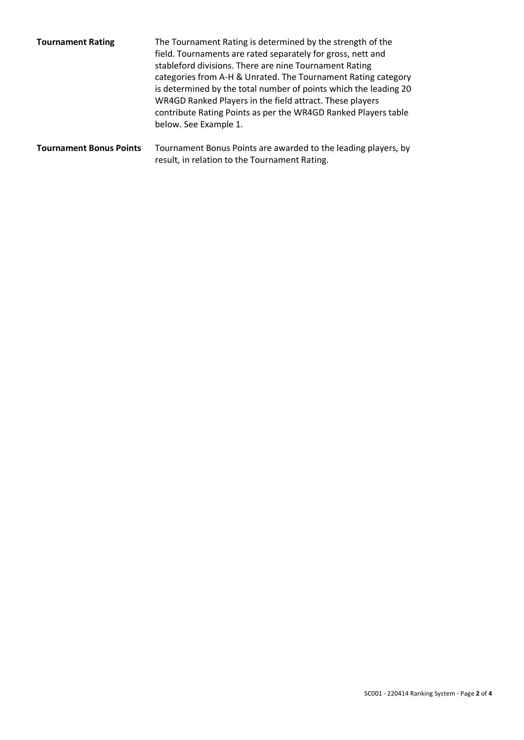| <b>Tournament Rating</b>       | The Tournament Rating is determined by the strength of the<br>field. Tournaments are rated separately for gross, nett and<br>stableford divisions. There are nine Tournament Rating<br>categories from A-H & Unrated. The Tournament Rating category<br>is determined by the total number of points which the leading 20<br>WR4GD Ranked Players in the field attract. These players<br>contribute Rating Points as per the WR4GD Ranked Players table<br>below. See Example 1. |
|--------------------------------|---------------------------------------------------------------------------------------------------------------------------------------------------------------------------------------------------------------------------------------------------------------------------------------------------------------------------------------------------------------------------------------------------------------------------------------------------------------------------------|
| <b>Tournament Bonus Points</b> | Tournament Bonus Points are awarded to the leading players, by                                                                                                                                                                                                                                                                                                                                                                                                                  |

result, in relation to the Tournament Rating.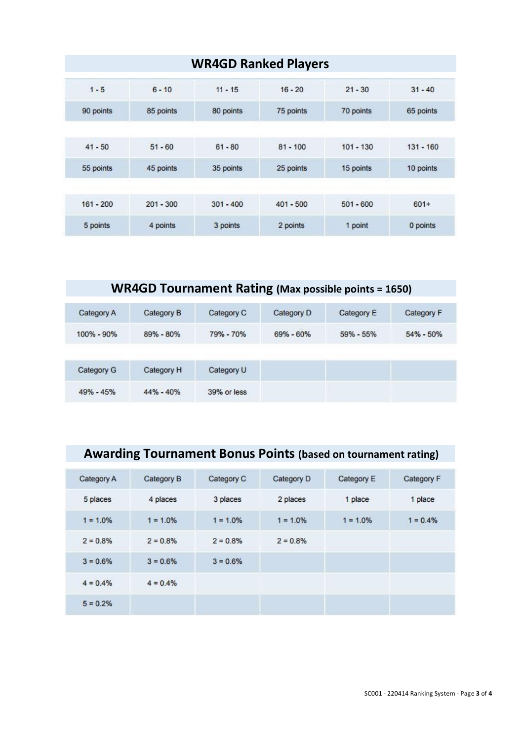|             | <b>WR4GD Ranked Players</b> |             |             |             |             |  |  |
|-------------|-----------------------------|-------------|-------------|-------------|-------------|--|--|
| $1 - 5$     | $6 - 10$                    | $11 - 15$   | $16 - 20$   | $21 - 30$   | $31 - 40$   |  |  |
| 90 points   | 85 points                   | 80 points   | 75 points   | 70 points   | 65 points   |  |  |
|             |                             |             |             |             |             |  |  |
| $41 - 50$   | $51 - 60$                   | $61 - 80$   | $81 - 100$  | $101 - 130$ | $131 - 160$ |  |  |
| 55 points   | 45 points                   | 35 points   | 25 points   | 15 points   | 10 points   |  |  |
|             |                             |             |             |             |             |  |  |
| $161 - 200$ | $201 - 300$                 | $301 - 400$ | $401 - 500$ | $501 - 600$ | $601+$      |  |  |
| 5 points    | 4 points                    | 3 points    | 2 points    | 1 point     | 0 points    |  |  |

#### **WR4GD Tournament Rating (Max possible points = 1650)**

| Category A    | Category B    | Category C  | Category D | Category E | Category F    |
|---------------|---------------|-------------|------------|------------|---------------|
| 100% - 90%    | 89% - 80%     | 79% - 70%   | 69% - 60%  | 59% - 55%  | $54\% - 50\%$ |
|               |               |             |            |            |               |
| Category G    | Category H    | Category U  |            |            |               |
| $49\% - 45\%$ | $44\% - 40\%$ | 39% or less |            |            |               |

## **Awarding Tournament Bonus Points (based on tournament rating)**

| Category A | Category B  | Category C  | Category D  | Category E | Category F |
|------------|-------------|-------------|-------------|------------|------------|
| 5 places   | 4 places    | 3 places    | 2 places    | 1 place    | 1 place    |
| $1 = 1.0%$ | $1 = 1.0\%$ | $1 = 1.0\%$ | $1 = 1.0\%$ | $1 = 1.0%$ | $1 = 0.4%$ |
| $2 = 0.8%$ | $2 = 0.8\%$ | $2 = 0.8\%$ | $2 = 0.8\%$ |            |            |
| $3 = 0.6%$ | $3 = 0.6%$  | $3 = 0.6%$  |             |            |            |
| $4 = 0.4%$ | $4 = 0.4%$  |             |             |            |            |
| $5 = 0.2%$ |             |             |             |            |            |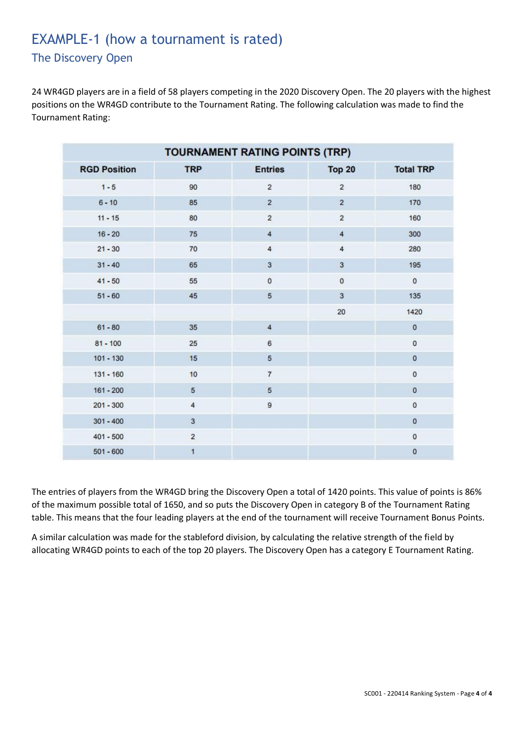#### EXAMPLE-1 (how a tournament is rated) The Discovery Open

24 WR4GD players are in a field of 58 players competing in the 2020 Discovery Open. The 20 players with the highest positions on the WR4GD contribute to the Tournament Rating. The following calculation was made to find the Tournament Rating:

| TOURNAMENT RATING POINTS (TRP) |                |                         |                |                  |  |
|--------------------------------|----------------|-------------------------|----------------|------------------|--|
| <b>RGD Position</b>            | <b>TRP</b>     | <b>Entries</b>          | <b>Top 20</b>  | <b>Total TRP</b> |  |
| $1 - 5$                        | 90             | $\overline{2}$          | $\overline{2}$ | 180              |  |
| $6 - 10$                       | 85             | $\overline{2}$          | $\overline{2}$ | 170              |  |
| $11 - 15$                      | 80             | $\mathbf 2$             | $\overline{2}$ | 160              |  |
| $16 - 20$                      | 75             | $\overline{4}$          | $\overline{4}$ | 300              |  |
| $21 - 30$                      | 70             | $\overline{\mathbf{4}}$ | $\overline{4}$ | 280              |  |
| $31 - 40$                      | 65             | $\overline{3}$          | 3              | 195              |  |
| $41 - 50$                      | 55             | $\pmb{0}$               | $\pmb{0}$      | $\mathbf 0$      |  |
| $51 - 60$                      | 45             | 5                       | $\overline{3}$ | 135              |  |
|                                |                |                         | 20             | 1420             |  |
| $61 - 80$                      | 35             | $\overline{4}$          |                | $\mathbf 0$      |  |
| $81 - 100$                     | 25             | 6                       |                | $\mathbf 0$      |  |
| $101 - 130$                    | 15             | 5                       |                | $\pmb{0}$        |  |
| $131 - 160$                    | 10             | $\overline{7}$          |                | $\mathbf 0$      |  |
| $161 - 200$                    | 5              | 5                       |                | 0                |  |
| $201 - 300$                    | $\overline{4}$ | 9                       |                | $\pmb{0}$        |  |
| $301 - 400$                    | $\overline{3}$ |                         |                | $\pmb{0}$        |  |
| $401 - 500$                    | $\overline{2}$ |                         |                | $\mathbf 0$      |  |
| $501 - 600$                    | 1              |                         |                | 0                |  |

The entries of players from the WR4GD bring the Discovery Open a total of 1420 points. This value of points is 86% of the maximum possible total of 1650, and so puts the Discovery Open in category B of the Tournament Rating table. This means that the four leading players at the end of the tournament will receive Tournament Bonus Points.

A similar calculation was made for the stableford division, by calculating the relative strength of the field by allocating WR4GD points to each of the top 20 players. The Discovery Open has a category E Tournament Rating.